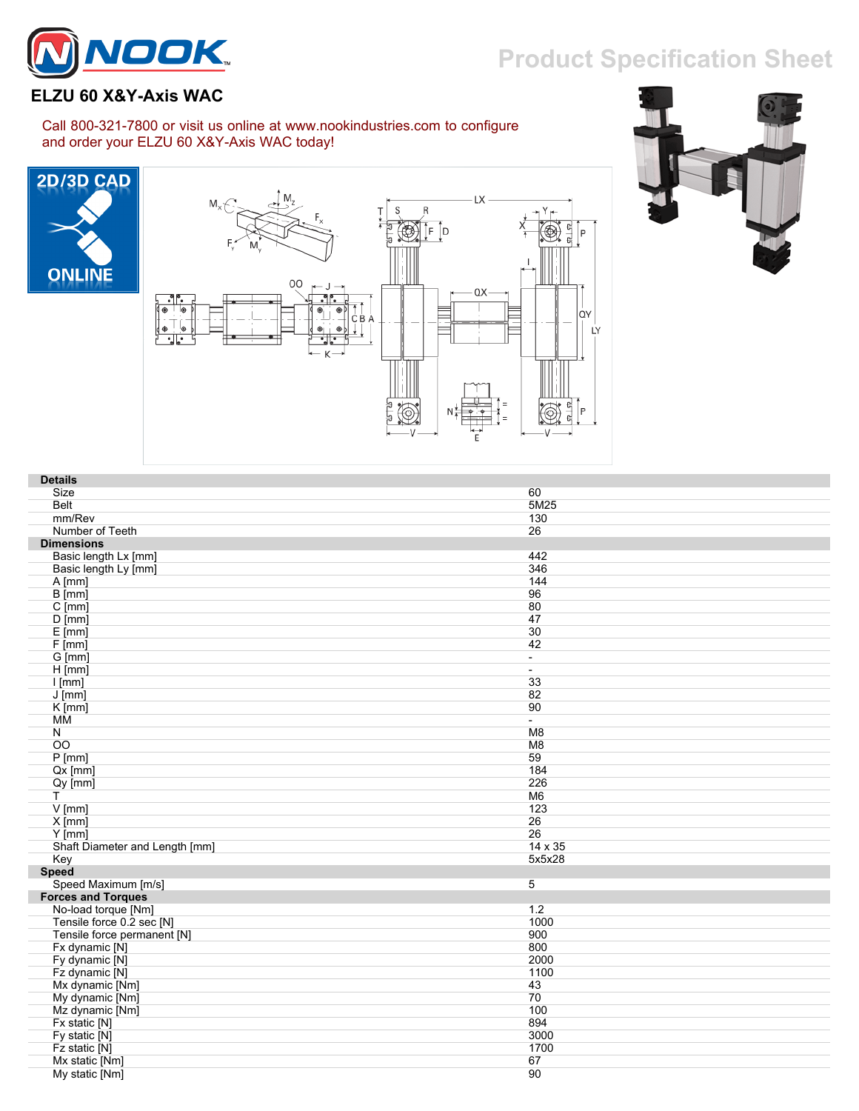## **Product Specification Sheet**



## **ELZU 60 X&Y-Axis WAC**

## Call 800-321-7800 or visit us online at www.nookindustries.com to configure and order your ELZU 60 X&Y-Axis WAC today!







| <b>Details</b>                 |                          |
|--------------------------------|--------------------------|
| Size                           | 60                       |
| Belt                           | 5M25                     |
| mm/Rev                         | 130                      |
| Number of Teeth                | 26                       |
| <b>Dimensions</b>              |                          |
| Basic length Lx [mm]           | 442                      |
| Basic length Ly [mm]           | 346                      |
| A [mm]                         | 144                      |
| $\overline{B}$ [mm]            | 96                       |
| $C$ [mm]                       | 80                       |
| $D$ [mm]                       | 47                       |
| $E$ [mm]                       | 30                       |
| $F$ [mm]                       | 42                       |
| G [mm]                         | $\blacksquare$           |
| $H$ [mm]                       | $\blacksquare$           |
| $I$ [mm]                       | 33                       |
| $J$ [mm]                       | 82                       |
| $K$ [mm]                       | 90                       |
| MМ                             | $\overline{\phantom{a}}$ |
| $\mathsf{N}$                   | M8                       |
| OO                             | M <sub>8</sub>           |
| $P$ [mm]                       | 59                       |
| $Qx$ [mm]                      | 184                      |
| $Qy$ [mm]                      | 226                      |
| Τ                              | M <sub>6</sub>           |
| $V$ [mm]                       | 123                      |
| $X$ [mm]                       | 26                       |
| $Y$ [mm]                       | 26                       |
| Shaft Diameter and Length [mm] | 14 x 35                  |
| Key                            | 5x5x28                   |
| Speed                          |                          |
| Speed Maximum [m/s]            | $\overline{5}$           |
| <b>Forces and Torques</b>      |                          |
| No-load torque [Nm]            | 1.2                      |
| Tensile force 0.2 sec [N]      | 1000                     |
| Tensile force permanent [N]    | 900                      |
| Fx dynamic [N]                 | 800                      |
| Fy dynamic [N]                 | 2000                     |
| Fz dynamic [N]                 | 1100                     |
| Mx dynamic [Nm]                | 43                       |
| My dynamic [Nm]                | 70                       |
| Mz dynamic [Nm]                | 100                      |
| Fx static [N]                  | 894                      |
| Fy static [N]                  | 3000                     |
| Fz static [N]                  | 1700                     |
| Mx static [Nm]                 | 67                       |
| My static [Nm]                 | 90                       |
|                                |                          |